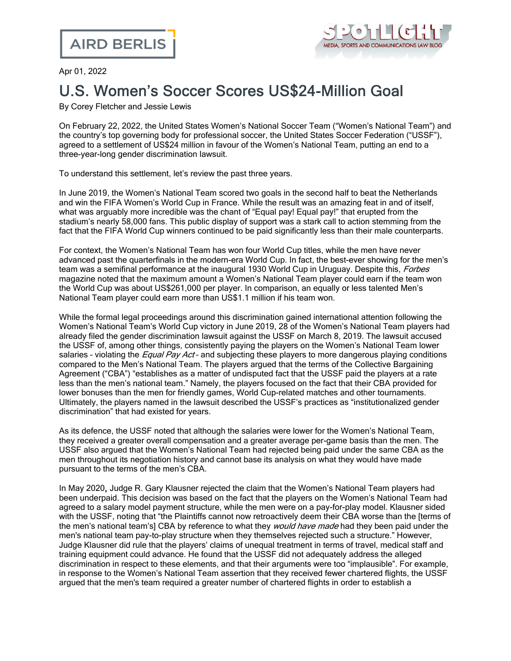

Apr 01, 2022

## U.S. Women's Soccer Scores US\$24-Million Goal

By Corey Fletcher and Jessie Lewis

On February 22, 2022, the United States Women's National Soccer Team ("Women's National Team") and the country's top governing body for professional soccer, the United States Soccer Federation ("USSF"), agreed to a settlement of US\$24 million in favour of the Women's National Team, putting an end to a three-year-long gender discrimination lawsuit.

To understand this settlement, let's review the past three years.

In June 2019, the Women's National Team scored two goals in the second half to beat the Netherlands and win the FIFA Women's World Cup in France. While the result was an amazing feat in and of itself, what was arguably more incredible was the chant of "Equal pay! Equal pay!" that erupted from the stadium's nearly 58,000 fans. This public display of support was a stark call to action stemming from the fact that the FIFA World Cup winners continued to be paid significantly less than their male counterparts.

For context, the Women's National Team has won four World Cup titles, while the men have never advanced past the quarterfinals in the modern-era World Cup. In fact, the best-ever showing for the men's team was a semifinal performance at the inaugural 1930 World Cup in Uruguay. Despite this, Forbes magazine noted that the maximum amount a Women's National Team player could earn if the team won the World Cup was about US\$261,000 per player. In comparison, an equally or less talented Men's National Team player could earn more than US\$1.1 million if his team won.

While the formal legal proceedings around this discrimination gained international attention following the Women's National Team's World Cup victory in June 2019, 28 of the Women's National Team players had already filed the gender discrimination lawsuit against the USSF on March 8, 2019. The lawsuit accused the USSF of, among other things, consistently paying the players on the Women's National Team lower salaries - violating the *Equal Pay Act* - and subjecting these players to more dangerous playing conditions compared to the Men's National Team. The players argued that the terms of the Collective Bargaining Agreement ("CBA") "establishes as a matter of undisputed fact that the USSF paid the players at a rate less than the men's national team." Namely, the players focused on the fact that their CBA provided for lower bonuses than the men for friendly games, World Cup-related matches and other tournaments. Ultimately, the players named in the lawsuit described the USSF's practices as "institutionalized gender discrimination" that had existed for years.

As its defence, the USSF noted that although the salaries were lower for the Women's National Team, they received a greater overall compensation and a greater average per-game basis than the men. The USSF also argued that the Women's National Team had rejected being paid under the same CBA as the men throughout its negotiation history and cannot base its analysis on what they would have made pursuant to the terms of the men's CBA.

In May 2020, Judge R. Gary Klausner rejected the claim that the Women's National Team players had been underpaid. This decision was based on the fact that the players on the Women's National Team had agreed to a salary model payment structure, while the men were on a pay-for-play model. Klausner sided with the USSF, noting that "the Plaintiffs cannot now retroactively deem their CBA worse than the [terms of the men's national team's] CBA by reference to what they *would have made* had they been paid under the men's national team pay-to-play structure when they themselves rejected such a structure." However, Judge Klausner did rule that the players' claims of unequal treatment in terms of travel, medical staff and training equipment could advance. He found that the USSF did not adequately address the alleged discrimination in respect to these elements, and that their arguments were too "implausible". For example, in response to the Women's National Team assertion that they received fewer chartered flights, the USSF argued that the men's team required a greater number of chartered flights in order to establish a